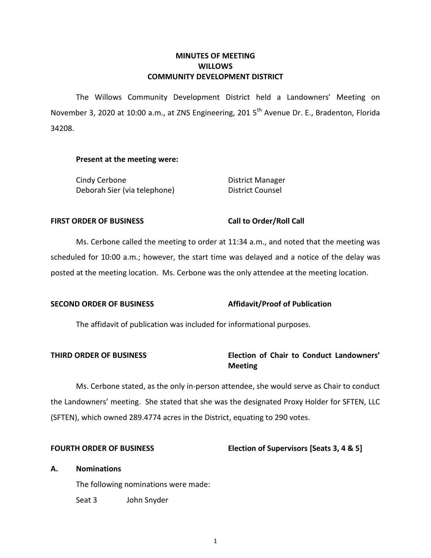## **MINUTES OF MEETING WILLOWS COMMUNITY DEVELOPMENT DISTRICT**

The Willows Community Development District held a Landowners' Meeting on November 3, 2020 at 10:00 a.m., at ZNS Engineering, 201 5<sup>th</sup> Avenue Dr. E., Bradenton, Florida 34208.

#### **Present at the meeting were:**

Cindy Cerbone **District Manager** Deborah Sier (via telephone) District Counsel

### FIRST ORDER OF BUSINESS Call to Order/Roll Call

Ms. Cerbone called the meeting to order at 11:34 a.m., and noted that the meeting was scheduled for 10:00 a.m.; however, the start time was delayed and a notice of the delay was posted at the meeting location. Ms. Cerbone was the only attendee at the meeting location.

### **SECOND ORDER OF BUSINESS Affidavit/Proof of Publication**

The affidavit of publication was included for informational purposes.

# **THIRD ORDER OF BUSINESS Election of Chair to Conduct Landowners' Meeting**

Ms. Cerbone stated, as the only in-person attendee, she would serve as Chair to conduct the Landowners' meeting. She stated that she was the designated Proxy Holder for SFTEN, LLC (SFTEN), which owned 289.4774 acres in the District, equating to 290 votes.

### **FOURTH ORDER OF BUSINESS Election of Supervisors [Seats 3, 4 & 5]**

### **A. Nominations**

The following nominations were made:

Seat 3 John Snyder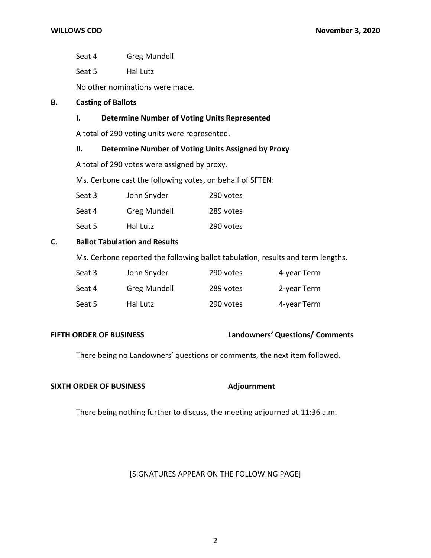Seat 4 Greg Mundell

Seat 5 Hal Lutz

No other nominations were made.

## **B. Casting of Ballots**

## **I. Determine Number of Voting Units Represented**

A total of 290 voting units were represented.

### **II. Determine Number of Voting Units Assigned by Proxy**

A total of 290 votes were assigned by proxy.

Ms. Cerbone cast the following votes, on behalf of SFTEN:

| Seat 3 | John Snyder         | 290 votes |
|--------|---------------------|-----------|
| Seat 4 | <b>Greg Mundell</b> | 289 votes |

Seat 5 Hal Lutz 290 votes

# **C. Ballot Tabulation and Results**

Ms. Cerbone reported the following ballot tabulation, results and term lengths.

| Seat 3 | John Snyder  | 290 votes | 4-year Term |
|--------|--------------|-----------|-------------|
| Seat 4 | Greg Mundell | 289 votes | 2-year Term |
| Seat 5 | Hal Lutz     | 290 votes | 4-year Term |

## **FIFTH ORDER OF BUSINESS Landowners' Questions/ Comments**

There being no Landowners' questions or comments, the next item followed.

#### **SIXTH ORDER OF BUSINESS** Adjournment

There being nothing further to discuss, the meeting adjourned at 11:36 a.m.

### [SIGNATURES APPEAR ON THE FOLLOWING PAGE]